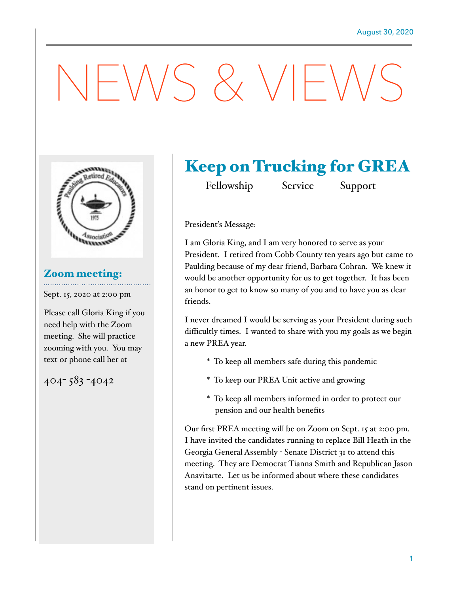# NEWS & VIEWS



# Zoom meeting:

Sept. 15, 2020 at 2:00 pm

Please call Gloria King if you need help with the Zoom meeting. She will practice zooming with you. You may text or phone call her at

# 404- 583 -4042

# Keep on Trucking for GREA

Fellowship Service Support

President's Message:

I am Gloria King, and I am very honored to serve as your President. I retired from Cobb County ten years ago but came to Paulding because of my dear friend, Barbara Cohran. We knew it would be another opportunity for us to get together. It has been an honor to get to know so many of you and to have you as dear friends.

I never dreamed I would be serving as your President during such difficultly times. I wanted to share with you my goals as we begin a new PREA year.

- \* To keep all members safe during this pandemic
- \* To keep our PREA Unit active and growing
- \* To keep all members informed in order to protect our pension and our health benefits

Our first PREA meeting will be on Zoom on Sept. 15 at 2:00 pm. I have invited the candidates running to replace Bill Heath in the Georgia General Assembly - Senate District 31 to attend this meeting. They are Democrat Tianna Smith and Republican Jason Anavitarte. Let us be informed about where these candidates stand on pertinent issues.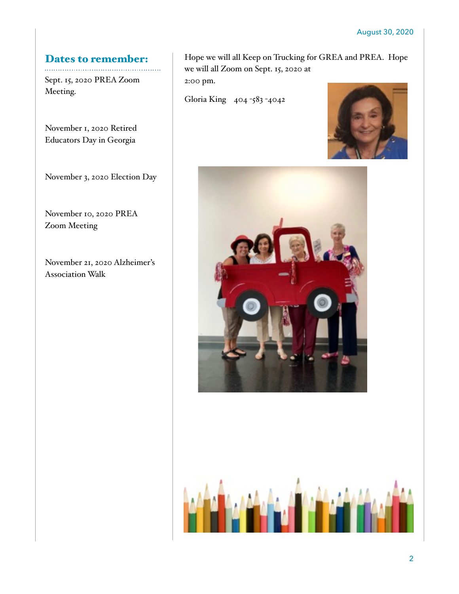# Dates to remember:

Sept. 15, 2020 PREA Zoom Meeting.

November 1, 2020 Retired Educators Day in Georgia

November 3, 2020 Election Day

November 10, 2020 PREA Zoom Meeting

November 21, 2020 Alzheimer's Association Walk

Hope we will all Keep on Trucking for GREA and PREA. Hope we will all Zoom on Sept. 15, 2020 at 2:00 pm.

Gloria King 404 -583 -4042





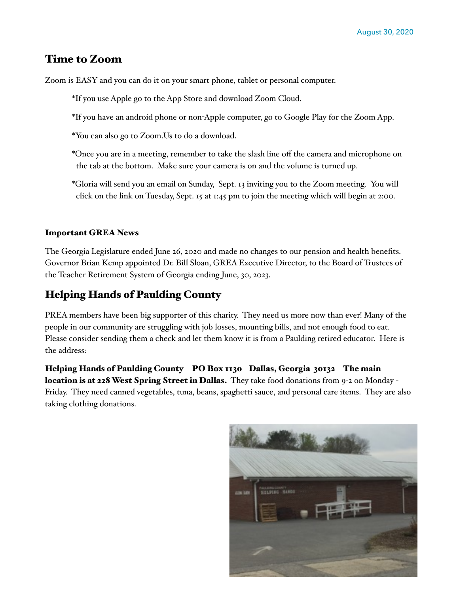## Time to Zoom

Zoom is EASY and you can do it on your smart phone, tablet or personal computer.

- \*If you use Apple go to the App Store and download Zoom Cloud.
- \*If you have an android phone or non-Apple computer, go to Google Play for the Zoom App.
- \*You can also go to Zoom.Us to do a download.
- \*Once you are in a meeting, remember to take the slash line off the camera and microphone on the tab at the bottom. Make sure your camera is on and the volume is turned up.
- \*Gloria will send you an email on Sunday, Sept. 13 inviting you to the Zoom meeting. You will click on the link on Tuesday, Sept. 15 at 1:45 pm to join the meeting which will begin at 2:00.

#### Important GREA News

The Georgia Legislature ended June 26, 2020 and made no changes to our pension and health benefits. Governor Brian Kemp appointed Dr. Bill Sloan, GREA Executive Director, to the Board of Trustees of the Teacher Retirement System of Georgia ending June, 30, 2023.

### Helping Hands of Paulding County

PREA members have been big supporter of this charity. They need us more now than ever! Many of the people in our community are struggling with job losses, mounting bills, and not enough food to eat. Please consider sending them a check and let them know it is from a Paulding retired educator. Here is the address:

Helping Hands of Paulding County PO Box 1130 Dallas, Georgia 30132 The main location is at 228 West Spring Street in Dallas. They take food donations from 9-2 on Monday -Friday. They need canned vegetables, tuna, beans, spaghetti sauce, and personal care items. They are also taking clothing donations.

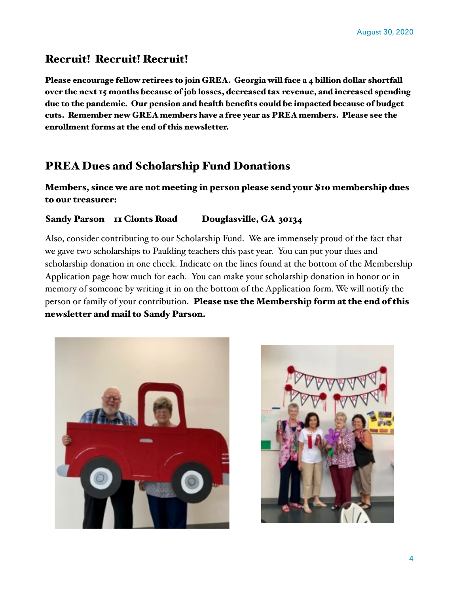## Recruit! Recruit! Recruit!

Please encourage fellow retirees to join GREA. Georgia will face a 4 billion dollar shortfall over the next 15 months because of job losses, decreased tax revenue, and increased spending due to the pandemic. Our pension and health benefits could be impacted because of budget cuts. Remember new GREA members have a free year as PREA members. Please see the enrollment forms at the end of this newsletter.

# PREA Dues and Scholarship Fund Donations

Members, since we are not meeting in person please send your \$10 membership dues to our treasurer:

#### Sandy Parson II Clonts Road Douglasville, GA 30134

Also, consider contributing to our Scholarship Fund. We are immensely proud of the fact that we gave two scholarships to Paulding teachers this past year. You can put your dues and scholarship donation in one check. Indicate on the lines found at the bottom of the Membership Application page how much for each. You can make your scholarship donation in honor or in memory of someone by writing it in on the bottom of the Application form. We will notify the person or family of your contribution. Please use the Membership form at the end of this newsletter and mail to Sandy Parson.



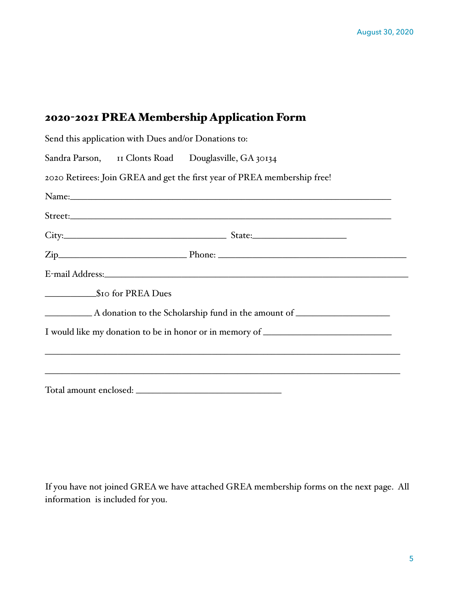# 2020-2021 PREA Membership Application Form

|                  | Send this application with Dues and/or Donations to: |                                                                                  |  |
|------------------|------------------------------------------------------|----------------------------------------------------------------------------------|--|
|                  |                                                      | Sandra Parson, II Clonts Road Douglasville, GA 30134                             |  |
|                  |                                                      | 2020 Retirees: Join GREA and get the first year of PREA membership free!         |  |
|                  |                                                      |                                                                                  |  |
|                  |                                                      |                                                                                  |  |
|                  |                                                      |                                                                                  |  |
|                  |                                                      |                                                                                  |  |
|                  |                                                      |                                                                                  |  |
| So for PREA Dues |                                                      |                                                                                  |  |
|                  |                                                      |                                                                                  |  |
|                  |                                                      | I would like my donation to be in honor or in memory of ________________________ |  |
|                  |                                                      | <u> 1989 - John Stein, Amerikaansk politiker († 1989)</u>                        |  |
|                  |                                                      |                                                                                  |  |
|                  |                                                      | Total amount enclosed:                                                           |  |

If you have not joined GREA we have attached GREA membership forms on the next page. All information is included for you.